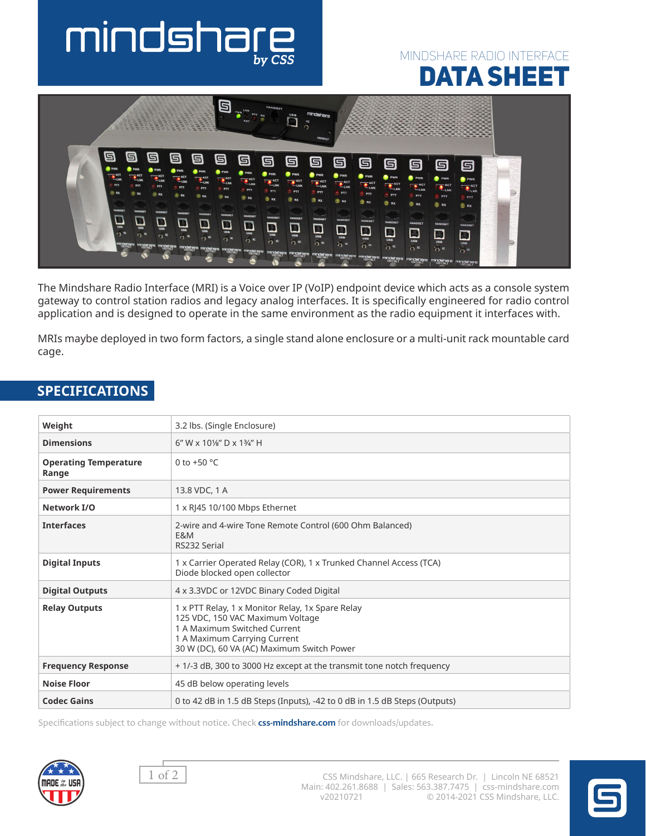# mindshar

## mindshare radio interface DATA SHEET



The Mindshare Radio Interface (MRI) is a Voice over IP (VoIP) endpoint device which acts as a console system gateway to control station radios and legacy analog interfaces. It is specifically engineered for radio control application and is designed to operate in the same environment as the radio equipment it interfaces with.

MRIs maybe deployed in two form factors, a single stand alone enclosure or a multi-unit rack mountable card cage.

| Weight                                | 3.2 lbs. (Single Enclosure)                                                                                                                                                                        |
|---------------------------------------|----------------------------------------------------------------------------------------------------------------------------------------------------------------------------------------------------|
| <b>Dimensions</b>                     | $6''$ W x $10\frac{1}{8}$ D x $1\frac{3}{4}$ H                                                                                                                                                     |
| <b>Operating Temperature</b><br>Range | 0 to $+50$ °C                                                                                                                                                                                      |
| <b>Power Requirements</b>             | 13.8 VDC, 1 A                                                                                                                                                                                      |
| Network I/O                           | 1 x RJ45 10/100 Mbps Ethernet                                                                                                                                                                      |
| <b>Interfaces</b>                     | 2-wire and 4-wire Tone Remote Control (600 Ohm Balanced)<br>E&M<br>RS232 Serial                                                                                                                    |
| <b>Digital Inputs</b>                 | 1 x Carrier Operated Relay (COR), 1 x Trunked Channel Access (TCA)<br>Diode blocked open collector                                                                                                 |
| <b>Digital Outputs</b>                | 4 x 3.3VDC or 12VDC Binary Coded Digital                                                                                                                                                           |
| <b>Relay Outputs</b>                  | 1 x PTT Relay, 1 x Monitor Relay, 1x Spare Relay<br>125 VDC, 150 VAC Maximum Voltage<br>1 A Maximum Switched Current<br>1 A Maximum Carrying Current<br>30 W (DC), 60 VA (AC) Maximum Switch Power |
| <b>Frequency Response</b>             | + 1/-3 dB, 300 to 3000 Hz except at the transmit tone notch frequency                                                                                                                              |
| <b>Noise Floor</b>                    | 45 dB below operating levels                                                                                                                                                                       |
| <b>Codec Gains</b>                    | 0 to 42 dB in 1.5 dB Steps (Inputs), -42 to 0 dB in 1.5 dB Steps (Outputs)                                                                                                                         |

### **SPECIFICATIONS**

Specifications subject to change without notice. Check **css-mindshare.com** for downloads/updates.